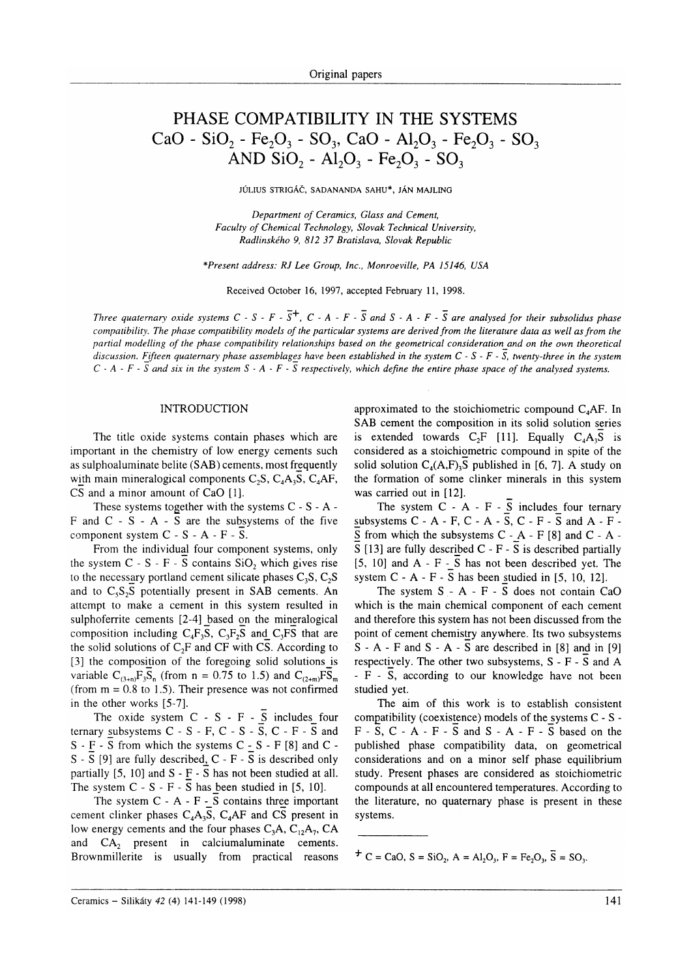# PHASE COMPATIBILITY IN THE SYSTEMS CaO - SiO<sub>2</sub> - Fe<sub>2</sub>O<sub>3</sub> - SO<sub>3</sub>, CaO - Al<sub>2</sub>O<sub>3</sub> - Fe<sub>2</sub>O<sub>3</sub> - SO<sub>3</sub> AND  $SiO_2$  -  $Al_2O_3$  - Fe<sub>2</sub>O<sub>3</sub> - SO<sub>3</sub>

JÚLIUS STRIGÁČ, SADANANDA SAHU\*, JÁN MAJLING

Department of Ceramics, Glass and Cement, Faculty of Chemical Technology, Slovak Technical University, Radlinského 9, 8]2 37 Bratislava, Slovak Republic

\*Present address: RJ Lee Group, Inc., Monroeville, PA 15146, USA

Received October 16, 1997, accepted February ll, 1998.

Three quaternary oxide systems  $C - S - F - \overline{S}$ ,  $C - A - F - \overline{S}$  and  $S - A - F - \overline{S}$  are analysed for their subsolidus phase compatibility. The phase compatibility models of the particular systems are derived from the literature data as well as from the partial modelling of the phase compatibility relationships based on the geometrical consideration and on the own theoretical discussion. Fifteen quaternary phase assemblages have been established in the system  $C$  -  $S$  -  $F$  -  $\overline{S}$ , twenty-three in the system C - A - F -  $\overline{S}$  and six in the system S - A - F -  $\overline{S}$  respectively, which define the entire phase space of the analysed systems.

### INTRODUCTION

The title oxide systems contain phases which are important in the chemistry of low energy cements such as sulphoaluminate belite (SAB) cements, most frequently with main mineralogical components  $C_2S$ ,  $C_4A_3S$ ,  $C_4AF$ , CS and a minor amount of CaO [1].

These systems together with the systems C - S - A - F and C - S - A -  $\overline{S}$  are the subsystems of the five component system  $C - S - A - F - \overline{S}$ .

From the individual four component systems, only the system  $C - S - F - S$  contains  $SiO<sub>2</sub>$  which gives rise to the necessary portland cement silicate phases  $C_3S$ ,  $C_2S$ and to  $C_5S_2S$  potentially present in SAB cements. An attcmpt to make a cement in this system resulted in sulphoferrite cements [2-4] based on the mineralogical composition including  $C_4F_3S$ ,  $C_3F_2S$  and  $C_3FS$  that are the solid solutions of  $C_2F$  and CF with CS. According to [3] the composition of the foregoing solid solutions is variable  $C_{(3+n)}F_3S_n$  (from n = 0.75 to 1.5) and  $C_{(2+m)}F\overline{S}_m$ (from  $m = 0.8$  to 1.5). Their presence was not confirmed in the other works  $[5-7]$ .

The oxide system  $C - S - F - \overline{S}$  includes four ternary subsystems  $C - S - F$ ,  $C - S - S$ ,  $C - F - S$  and  $S - F - S$  from which the systems  $C - S - F$  [8] and  $C - S - F$ S -  $\overline{S}$  [9] are fully described, C - F -  $\overline{S}$  is described only partially [5, 10] and S - F - S has not been studied at all. The system  $C - S - F - \overline{S}$  has been studied in [5, 10].

The system C - A - F -  $\overline{S}$  contains three importan cement clinker phases  $C_4A_3S$ ,  $C_4AF$  and CS present in low energy cements and the four phases  $C_3A$ ,  $C_1, A_7$ , CA and CA, present in calciumaluminate cements. Brownmillerite is usually from practical reasons approximated to the stoichiometric compound  $C_4$ AF. In SAB cement the composition in its solid solution series is extended towards  $C_2F$  [11]. Equally  $C_4A_3\overline{S}$  is considered as a stoichiometric compound in spite of the solid solution  $C_4(A,F)$ <sup>5</sup>, published in [6, 7]. A study on the formation of some clinker minerals in this system was carried out in [12].

The system  $C - A - F - \overline{S}$  includes four ternary subsystems  $C - A - F$ ,  $C - A - \overline{S}$ ,  $C - F - \overline{S}$  and  $A - F \overline{S}$  from which the subsystems C -\_A - F [8] and C - A - $\overline{S}$  [13] are fully described C - F -  $\overline{S}$  is described partially  $[5, 10]$  and A - F -  $\overline{S}$  has not been described yet. The system  $C - A - F - S$  has been studied in [5, 10, 12].

The system  $S - A - F - \overline{S}$  does not contain CaO which is the main chemical component of each cement and therefore this system has not been discussed from the point of cement chemistry anywhere. Its two subsystems  $S - A - F$  and  $S - A - \overline{S}$  are described in [8] and in [9] respectively. The other two subsystems,  $S - F - \overline{S}$  and A  $-F - \overline{S}$ , according to our knowledge have not been studied yet.

The aim of this work is to establish consistent compatibility (coexistence) models of the systems C - S -  $F - S$ ,  $C - A - F - S$  and  $S - A - F - S$  based on the published phase compatibility data, on geometrical considerations and on a minor self phase equilibrium study. Present phases are considered as stoichiometric compounds at all encountered temperatures. According to the literature, no quaternary phase is present in these systems.

 $\overline{C}$  = CaO, S = SiO<sub>2</sub>, A = Al<sub>2</sub>O<sub>3</sub>, F = Fe<sub>2</sub>O<sub>3</sub>,  $\overline{S}$  = SO<sub>3</sub>.

Ceramics - Silikáty 42 (4) 141-149 (1998)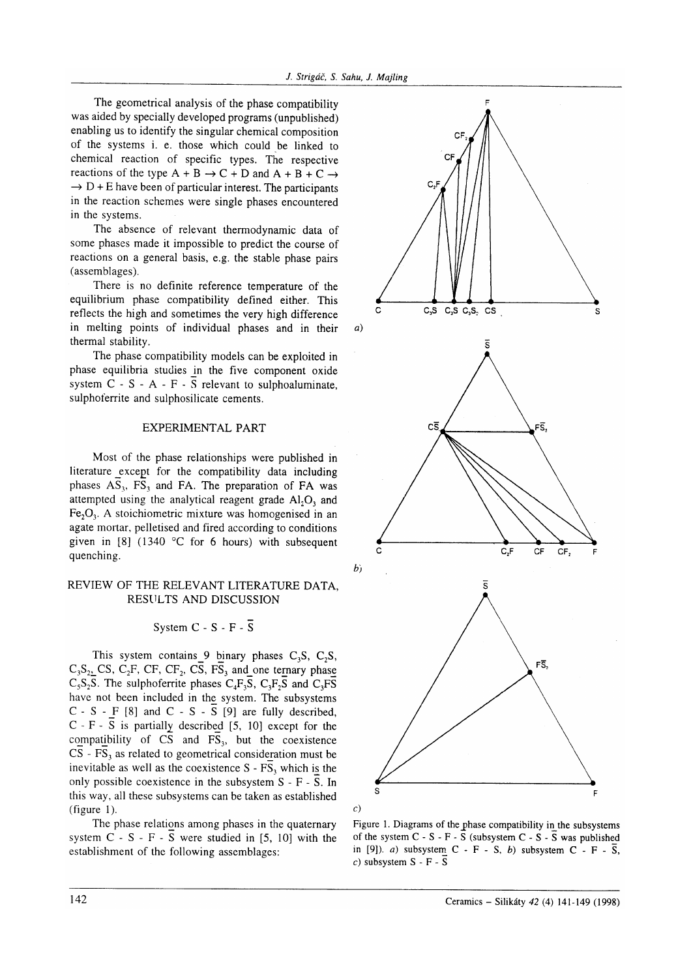The geometrical analysis of the phase compatibility was aided by specially developed programs (unpublished) enabling us to identify the singular chemical composition of the systems i. e. those which could be linked to chemical reaction of specific types. The respective reactions of the type  $A + B \rightarrow C + D$  and  $A + B + C \rightarrow$  $\rightarrow$  D + E have been of particular interest. The participants in the reaction schemes were single phases encountered in the systems.

The absence of relevant thermodynamic data of some phases made it impossible to predict the course of reactions on a general basis, e.g. the stable phase pairs (assemblages).

There is no definite reference temperature of the equilibrium phase compatibility defined either. This reflects the high and sometimes the very high difference in melting points of individual phases and in their thermal stability.

The phase compatibility models can be exploited in phase equilibria studies in the five component oxide system  $C - S - A - F - S$  relevant to sulphoaluminate, sulphoterrite and sulphosilicate cements.

### EXPERIMENTAL PART

Most of the phase relationships were published in literature \_except for the compatibility data including phases  $AS_3$ ,  $FS_3$  and FA. The preparation of FA was attempted using the analytical reagent grade  $Al_2O_3$  and  $Fe<sub>2</sub>O<sub>3</sub>$ . A stoichiometric mixture was homogenised in an agate mortar, pelletised and fired according to conditions given in [8] (1340  $\degree$ C for 6 hours) with subsequent quenching.

### REVIEW OF THE RELEVANT LITERATURE DATA. RESULTS AND DISCUSSION

## System  $C - S - F - \overline{S}$

This system contains 9 binary phases  $C_3S$ ,  $C_2S$ ,  $C_3S_2$ , CS,  $C_2F$ , CF, CF<sub>2</sub>, CS,  $\overline{FS}_3$  and one ternary phase  $C_5S_2S$ . The sulphoferrite phases  $C_4F_3S$ ,  $C_3F_2S$  and  $C_3F\overline{S}$ have not been included in the system. The subsystems  $C - S - F$  [8] and  $C - S - S$  [9] are fully described,  $C - F - \overline{S}$  is partially described [5, 10] except for the compatibility of  $\overline{CS}$  and  $\overline{FS}_3$ , but the coexistence  $CS$  -  $FS_3$  as related to geometrical consideration must be inevitable as well as the coexistence  $S - F\overline{S}_3$  which is the only possible coexistence in the subsystem  $S - F - S$ . In this way, all these subsystems can be taken as established (figure 1).

The phase relations among phases in the quaternary system  $C - S - F - \overline{S}$  were studied in [5, 10] with the establishment of the following assemblages:



Figure 1. Diagrams of the phase compatibility in the subsystems of the system  $C - S - F - \overline{S}$  (subsystem  $C - S - \overline{S}$  was published in [9]). a) subsystem  $C - F - S$ , b) subsystem  $C - F - \overline{S}$ , c) subsystem  $S - F - \overline{S}$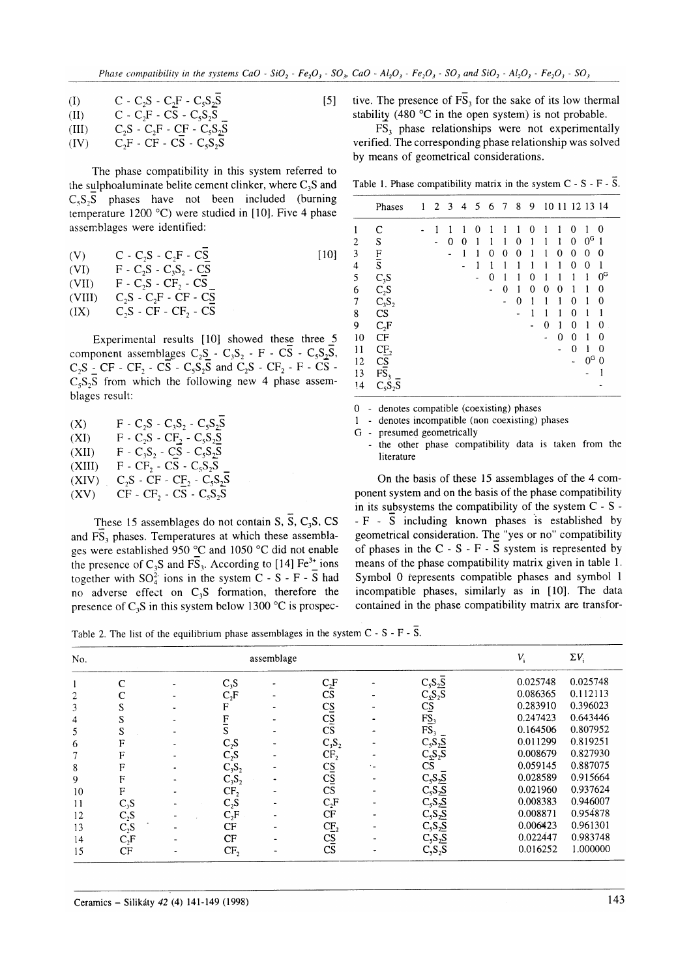(I) 
$$
C - C_2S - C_2F - C_5S_2\overline{S}
$$
 [5]  
\n(II)  $C - C_2F - CS - C_5S_2S$   
\n(III)  $C_2S - C_2F - CF - C_5S_2\overline{S}$ 

$$
(IV) \tC2F - CF - C\overline{S} - C5S2\overline{S}
$$

The phase compatibility in this system referred to the sulphoaluminate belite cement clinker, where  $C_3S$  and  $C_5S_5$  phases have not been included (burning temperature 1200 °C) were studied in [10]. Five 4 phase assernblages were identified:

$$
(V) \tC - C_2S - C_2F - C\overline{S}\n(VI) \tF - C_2S - C_3S_2 - C\overline{S}\n(VII) \tF - C_2S - CF_2 - C\overline{S}\n(VIII) \tC_2S - C_2F - CF - C\overline{S}\n(IX) \tC_2S - CF - CF_2 - C\overline{S}
$$

Experimental results  $[10]$  showed these three 5 component assemblages  $C_2S_2 - C_3S_2 - F - C\overline{S} - C_5S_2\overline{S}$ ,  $C_2S$  - CF - CF<sub>2</sub> - CS -  $C_5S_2\overline{S}$  and  $C_2S$  - CF<sub>2</sub> - F - CS - $C_5S_3S$  from which the following new 4 phase assemblages result:

| (X)    | $F - C_2S - C_3S_2 - C_5S_2S$                                              |
|--------|----------------------------------------------------------------------------|
| (XI)   | $F - C_2S - CF_2 - C_5S_2S$                                                |
| (XII)  | $F - C_3S_2 - CS - C_5S_2S$                                                |
| (XIII) | $F - CF_2 - CS - C_5S_2S$                                                  |
| (XIV)  | $C_2S$ - CF - C <sub>E<sub>2</sub></sub> - C <sub>5</sub> S <sub>2</sub> S |
| (XV)   | $CF - CF_2 - CS - C_5S_2S$                                                 |

These 15 assemblages do not contain S,  $\overline{S}$ , C<sub>3</sub>S, CS and  $\overline{FS}_3$  phases. Temperatures at which these assemblages were established 950 °C and 1050 °C did not enable the presence of  $C_3S$  and  $\overline{FS}_3$ . According to [14] Fe<sup>3+</sup> ions together with  $SO_4^{2-}$  ions in the system C - S - F - S had no adverse effect on C,S formation, therefore the presence of  $C_3S$  in this system below 1300 °C is prospective. The presence of  $F\overline{S}_3$  for the sake of its low thermal stability (480  $\degree$ C in the open system) is not probable.

 $F\overline{S}_3$  phase relationships were not experimentally verified. The corresponding phase relationship was solved by means of geometrical considerations.

Table 1. Phase compatibility matrix in the system  $C - S - F - \overline{S}$ .

|    | Phases                     | 1 | $\overline{2}$ | $\overline{\mathbf{3}}$ | 4 | 5 | 6 | $\overline{7}$ | 8            | 9 |   |   | 10 11 12 13 14 |                |             |
|----|----------------------------|---|----------------|-------------------------|---|---|---|----------------|--------------|---|---|---|----------------|----------------|-------------|
|    | C                          |   |                |                         |   | 0 |   |                |              | Ω |   |   | O              |                | 0           |
| 2  | S                          |   |                | 0                       | 0 |   |   | 1              | 0            | 1 |   | 1 | 0              | $0^{\rm G}$    | 1           |
| 3  |                            |   |                | -                       | 1 | 1 | 0 | 0              | $\mathbf{0}$ |   |   | 0 | 0              | 0              | 0           |
| 4  | $\frac{F}{S}$              |   |                |                         |   | 1 | 1 | 1              | 1            | 1 | 1 | 1 | 0              | 0              | 1           |
| 5  | $C_3S$                     |   |                |                         |   |   | 0 | 1              | 1            | 0 | 1 |   |                | 1              | $0^{\rm G}$ |
| 6  | $C_2S$                     |   |                |                         |   |   |   | 0              | 1            | 0 | 0 | 0 |                | 1              | 0           |
| 7  | $C_3S_2$                   |   |                |                         |   |   |   |                | 0            |   |   | 1 | 0              | 1              | 0           |
| 8  | $\mathbf{C}\mathbf{S}$     |   |                |                         |   |   |   |                | ٠            | 1 |   | 1 | 0              | 1              |             |
| 9  | $C_2F$                     |   |                |                         |   |   |   |                |              |   | 0 | 1 | $\theta$       | 1              | 0           |
| 10 | CF                         |   |                |                         |   |   |   |                |              |   |   | 0 | 0              |                | 0           |
| 11 | CE <sub>2</sub>            |   |                |                         |   |   |   |                |              |   |   |   | 0              | 1              | 0           |
| 12 | $\overline{c}\overline{s}$ |   |                |                         |   |   |   |                |              |   |   |   |                | 0 <sub>c</sub> | 0           |
| 13 | $\overline{\text{FS}}_3$   |   |                |                         |   |   |   |                |              |   |   |   |                |                |             |
| 14 | $C_5S_2S$                  |   |                |                         |   |   |   |                |              |   |   |   |                |                |             |

0 - denotes compatible (coexisting) phases

- 1 denotes incompatible (non coexisting) phases
- G presumed geometrically
- the other phase compatibility data is taken from the literature

On the basis of these 15 assemblages of the 4 component system and on the basis of the phase compatibility in its subsystems the compatibility of the system C - S -  $-F - \overline{S}$  including known phases is established by geometrical consideration. The "yes or no" compatibility of phases in the  $C - S - F - S$  system is represented by means of the phase compatibility matrix given in table 1. Symbol 0 řepresents compatible phases and symbol l incompatible phases, similarly as in [10]. The data contained in the phase compatibility matrix are transfor-

Table 2. The list of the equilibrium phase assemblages in the system  $C - S - F - \overline{S}$ .

| No. |              |                 | assemblage |                        |                                         | V,       | $\Sigma V_i$ |
|-----|--------------|-----------------|------------|------------------------|-----------------------------------------|----------|--------------|
|     | $\mathsf{C}$ | $C_3S$          |            | $C_2F$                 | $C_5S_2S$                               | 0.025748 | 0.025748     |
| 2   |              | $C_2F$          |            | CS                     | $C_5S_2S$                               | 0.086365 | 0.112113     |
| 3   | S            | F               |            | $\overline{c}$         | $\frac{\overline{CS}}{\overline{FS}_3}$ | 0.283910 | 0.396023     |
| 4   | S            | F               |            | $C_2^{\overline{S}}$   |                                         | 0.247423 | 0.643446     |
| 5   | S            | S               |            | $\overline{\text{CS}}$ | FS <sub>3</sub>                         | 0.164506 | 0.807952     |
| 6   | F            | $C_2S$          |            | $C_3S_2$               | $C_5S_2S$                               | 0.011299 | 0.819251     |
| 7   | F            | $C_2S$          |            | CF <sub>2</sub>        | $C_5S_2S$                               | 0.008679 | 0.827930     |
| 8   | F            | $C_3S_2$        |            |                        | $\mathbf{C}\mathbf{S}$                  | 0.059145 | 0.887075     |
| 9   | F            | $C_3S_2$        |            | $\frac{CS}{CS}$        | $C_5S_2S$                               | 0.028589 | 0.915664     |
| 10  | F            | CF <sub>2</sub> |            | CS                     | $C_5S_2S$                               | 0.021960 | 0.937624     |
| 11  | $C_3S$       | $C_2S$          |            | $C_2F$                 | $C_5S_2S$                               | 0.008383 | 0.946007     |
| 12  | $C_2S$       | $C_2F$          |            | CF                     | $C_5S_2S$                               | 0.008871 | 0.954878     |
| 13  | $C_2S$       | CF              |            | CF <sub>2</sub>        | $C_5S_2S$                               | 0.006423 | 0.961301     |
| 14  | $C_2F$       | CF              |            | $C_{\underline{S}}$    | $C_5S_2S$                               | 0.022447 | 0.983748     |
| 15  | CF           | CF <sub>2</sub> |            | CS                     | $C_5S_2S$                               | 0.016252 | 1.000000     |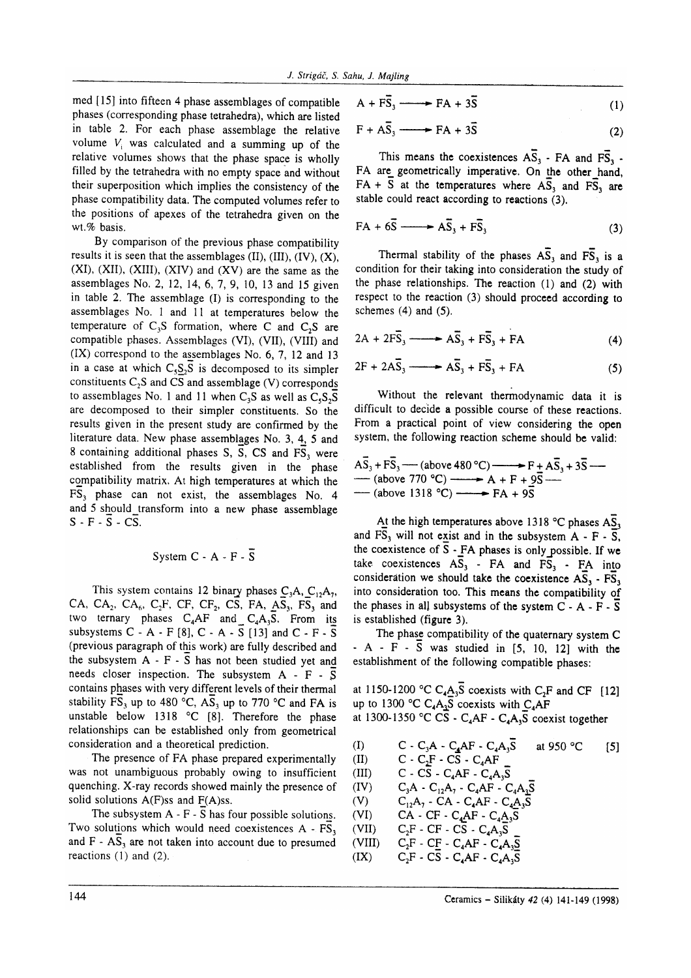med [15] into fifteen 4 phase assemblages of comparible phases (corresponding phase tetrahedra), which are listed in table 2. For each phase assemblage the relative volume  $V_i$  was calculated and a summing up of the relative volumes shows that the phase space is wholly filled by the tetrahedra with no empry space and without their superposition which implies the consistency of the phase compatibility data. The computed volumes refer to the positions of apexes of the tetrahedra given on the wt.% basis.

By comparison of the previous phase compatibility results it is seen that the assemblages  $(II)$ ,  $(III)$ ,  $(IV)$ ,  $(X)$ ,  $(XI)$ ,  $(XII)$ ,  $(XIII)$ ,  $(XIV)$  and  $(XV)$  are the same as the assemblages No. 2, 12, 14,6,7,9, 10, l3 and 15 given in table 2. The assemblage  $(I)$  is corresponding to the assemblages No. 1 and 1l at temperatures below the temperature of  $C_3S$  formation, where C and  $C_2S$  are compatible phases. Assemblages (VI), (VII), (WII) and  $(IX)$  correspond to the assemblages No. 6, 7, 12 and 13 in a case at which  $C_5S_2S$  is decomposed to its simpler constituents  $C_2S$  and  $\overline{CS}$  and assemblage (V) corresponds to assemblages No. 1 and 11 when C<sub>3</sub>S as well as  $C_5S_5\overline{S}$ are decomposed to their simpler constituents. So the results given in the present study are confirmed by the literature data. New phase assemblgges No. 3, 4, 5 and 8 containing additional phases S, S, CS and  $FS<sub>3</sub>$  were established from the results given in the phase compatibility matrix. At high temperatures at which the FS, phase can not exist, the assemblages No. <sup>4</sup> and 5 should\_transform into a new phase assemblage  $S - F - \overline{S} - CS$ .

## System  $C - A - F - \overline{S}$

This system contains 12 binary phases  $C_3A$ ,  $C_{12}A_7$ , CA, CA<sub>2</sub>, CA<sub>6</sub>, C<sub>2</sub>F, CF, CF<sub>2</sub>, CS, FA,  $\overrightarrow{AS}_3$ , FS<sub>3</sub> and two ternary phases  $C_4AF$  and  $C_4A_3\overline{S}$ . From its subsystems C - A - F [8], C - A -  $\overline{S}$  [13] and C - F -  $\overline{S}$ (previous paragraph of this work) are fully described and the subsystem A - F - S has not been studied yet and needs closer inspection. The subsystem  $A - F - S$ contains phases with very different levels of their thermal stability FS<sub>3</sub> up to 480 °C,  $\overline{AS_3}$  up to 770 °C and FA is unstable below 1318  $^{\circ}$ C [8]. Therefore the phase relationships can be established only from geometrical consideration and a theoretical prediction.

The presence of FA phase prepared experimentally was not unambiguous probably owing to insufficient quenching. X-ray records showed mainly the presence of solid solutions  $A(F)$ ss and  $F(A)$ ss.

The subsystem A - F - S has four possible solutions. Two solutions which would need coexistences  $A - FS$ and  $F - AS_3$  are not taken into account due to presumed reactions (1) and (2).

$$
A + F\overline{S}_3 \longrightarrow FA + 3\overline{S} \tag{1}
$$

$$
F + A\overline{S}_3 \longrightarrow FA + 3\overline{S}
$$
 (2)

This means the coexistences  $\overline{AS}_3$  - FA and  $\overline{FS}_3$  -FA are geometrically imperative. On the other hand,  $FA + \overline{S}$  at the temperatures where  $\overline{AS}_3$  and  $\overline{FS}_3$  are stable could react according to reactions (3).

$$
FA + 6\overline{S} \longrightarrow A\overline{S}_3 + F\overline{S}_3 \tag{3}
$$

Thermal stability of the phases  $\overline{AS}_3$  and  $\overline{FS}_3$  is a condition for their taking into consideration the study of the phase relationships. The reaction (1) and (2) with respect to the reaction (3) should proceed according to schemes  $(4)$  and  $(5)$ .

$$
2A + 2F\overline{S}_3 \longrightarrow A\overline{S}_3 + F\overline{S}_3 + FA \tag{4}
$$

$$
2F + 2A\overline{S}_3 \longrightarrow A\overline{S}_3 + F\overline{S}_3 + FA \tag{5}
$$

Without the relevant thermodynamic data it is difficult to decide a possible course of these reactions. From a practical point of view considering the open system, the following reaction scheme should be valid:

$$
A\overline{S}_3 + F\overline{S}_3
$$
 (above 480 °C) \n
$$
F + A\overline{S}_3 + 3\overline{S}
$$
 (above 770 °C) \n
$$
F + 9\overline{S}
$$

At the high temperatures above 1318 °C phases  $\overline{AS}_3$ and  $\overline{FS}_3$  will not exist and in the subsystem A - F -  $\overline{S}_3$ , the coexistence of  $\overline{S}$  - FA phases is only possible. If we take coexistences  $\overline{AS}_3$  - FA and  $\overline{FS}_3$  - FA into consideration we should take the coexistence  $\overline{AS}_3$  -  $\overline{FS}_3$ into consideration too. This means the compatibility of the phases in all subsystems of the system C - A - F -  $\overline{S}$ is established (figure 3).

The phase compatibility of the quaternary system C  $-A - F - S$  was studied in  $[5, 10, 12]$  with the establishment of the following compatible phases:

at 1150-1200 °C  $C_4A_3S$  coexists with  $C_2F$  and CF [12] up to 1300 °C  $C_4A_3S$  coexists with  $C_4AF$ at 1300-1350 °C CS -  $C_4AF$  -  $C_4A_3S$  coexist together

(1) 
$$
C - C_3A - C_4AF - C_4A_3S
$$
 at 950 °C [5]  
\n(II)  $C - C_2F - CS - C_4AF$   
\n(III)  $C - CS - C_4AF - C_4A_3S$   
\n(IV)  $C_3A - C_{12}A_7 - C_4AF - C_4A_3S$   
\n(V)  $C_{12}A_7 - CA - C_4AF - C_4A_3S$   
\n(V)  $CA - CF - C_4AF - C_4A_3S$   
\n(VII)  $C_2F - CF - CS - C_4A_3S$   
\n(VIII)  $C_2F - CF - C_4AF - C_4A_3S$   
\n(IX)  $C_2F - CS - C_4AF - C_4A_3S$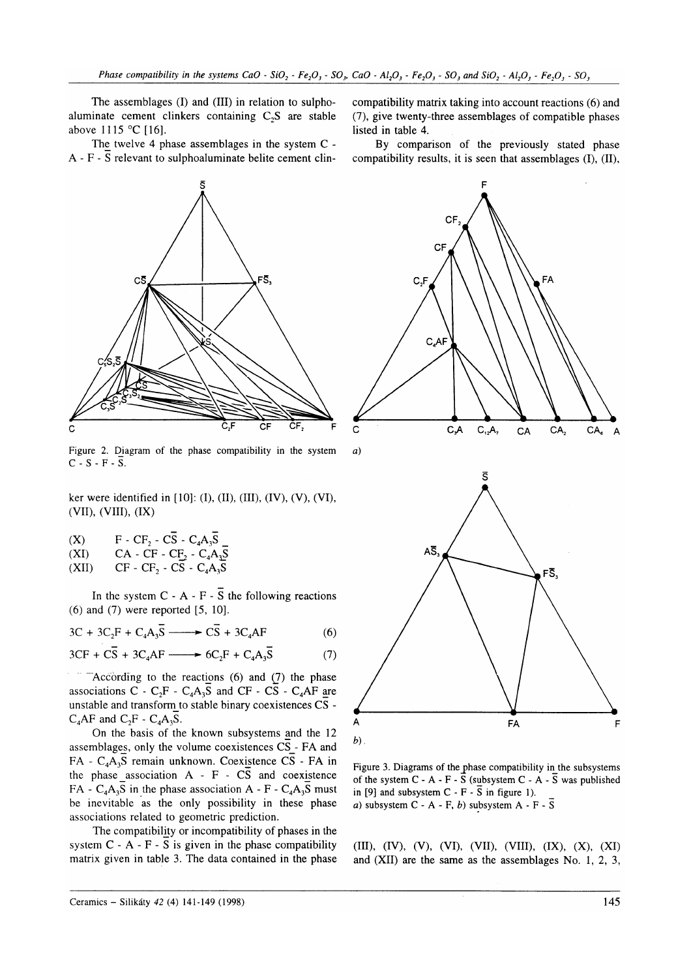The assemblages (I) and (III) in relation to sulphoaluminate cement clinkers containing  $C<sub>2</sub>S$  are stable above  $1115 °C$  [16].

The twelve 4 phase assemblages in the system C -  $A - F - \overline{S}$  relevant to sulphoaluminate belite cement clin-



Figure 2. Diagram of the phase compatibility in the system  $a$ )  $C-S-F-\overline{S}$ .

ker were identified in  $[10]$ : (I), (II), (III), (IV), (V), (VI), (vII), (VIII), (IX)

| (X)   | $F - CF_2 - CS - C_4A_3S$  |
|-------|----------------------------|
| (XI)  | $CA - CF - CE_2 - C_4A_3S$ |
| (XII) | $CF - CF_2 - CS - C_4A_3S$ |

In the system  $C - A - F - \overline{S}$  the following reactions (6) and (7) were reported [5, 10].

$$
3C + 3C_2F + C_4A_3\overline{S} \longrightarrow C\overline{S} + 3C_4AF
$$
 (6)

$$
3CF + C\overline{S} + 3C_4AF \longrightarrow 6C_2F + C_4A_3\overline{S}
$$
 (7)

According to the reactions  $(6)$  and  $(7)$  the phase associations C -  $C_2F - C_4A_3S$  and CF -  $\overline{CS}$  -  $C_4AF$  are unstable and transform to stable binary coexistences  $\overline{CS}$  - $C_4AF$  and  $C_2F - C_4A_3S$ .

On the basis of the known subsystems and the 12 assemblages, only the volume coexistences  $\overline{CS}$  - FA and FA -  $C_4A_3\overline{S}$  remain unknown. Coexistence CS - FA in the phase association  $A - F - C\overline{S}$  and coexistence  $FA - C<sub>4</sub>A<sub>3</sub>S$  in the phase association A - F -  $C<sub>4</sub>A<sub>3</sub>S$  must be inevitable as the only possibility in these phase associations related to geometric prediction.

The compatibility or incompatibility of phases in the system  $C - A - F - \overline{S}$  is given in the phase compatibility matrix given in table 3. The data contained in the phase compatibility matrix taking into account reactions (6) and (7), give twenty-three assemblages of compatible phases listed in table 4.

By comparison of the previously stated phase compatibility results, it is seen that assemblages (I), (II),



Figure 3. Diagrams of the phase compatibility in the subsystems of the system  $C - A - F - S$  (subsystem  $C - A - \overline{S}$  was published in [9] and subsystem  $C - F - \overline{S}$  in figure 1). a) subsystem  $C - A - F$ , b) subsystem  $A - F - \overline{S}$ 

(III), (IV), (V), (VI), (VII), (VIII), (IX), (X), (XI) and  $(XII)$  are the same as the assemblages No. 1, 2, 3,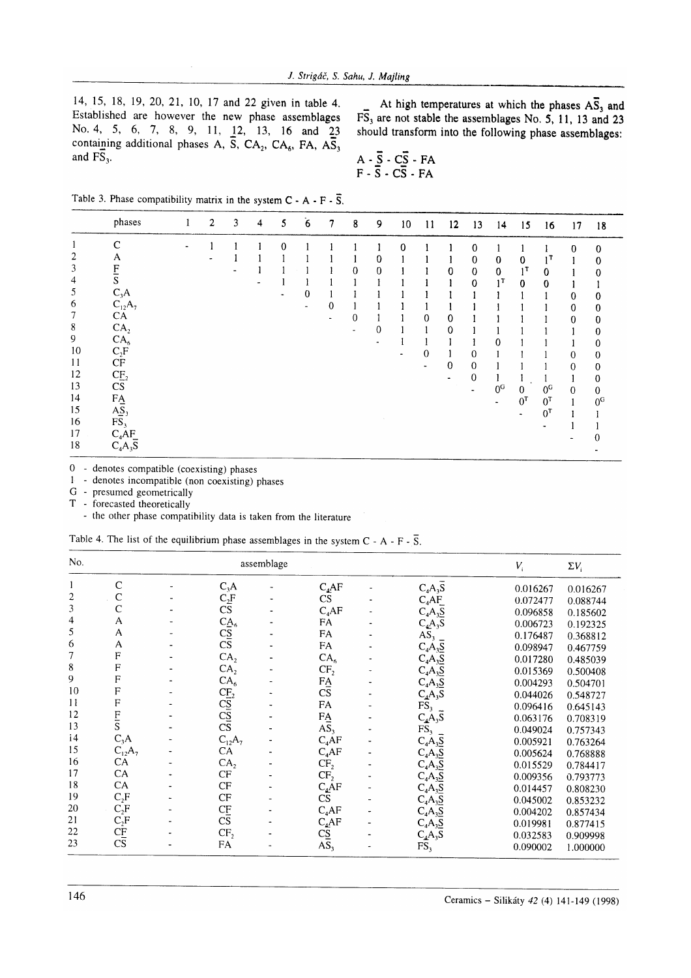14, 15, 18, 19, 20,21, 10, 17 and 22 given in table 4, Established are however the new phase assemblages No. 4, 5, 6, 7, 8, 9, 11, 12, 13, 16 and 23 containing additional phases A,  $\overline{S}$ , CA<sub>2</sub>, CA<sub>6</sub>, FA, A $\overline{S}$ <sub>3</sub> and  $FS<sub>3</sub>$ .

At high temperatures at which the phases  $A\overline{S}_3$  and  $F\overline{S}_3$  are not stable the assemblages No. 5, 11, 13 and 23 should transform into the following phase assemblages:

$$
A - \overline{S} - C\overline{S} - FA
$$
  
F - 
$$
\overline{S} - C\overline{S} - FA
$$

Table 3. Phase compatibility matrix in the system  $C - A - F - \overline{S}$ .

|    | phases                 | 2 | 3 | 4 | 5 | 6 | 7           | 8 | 9        | 10 | 11 | $12 \,$        | 13                  | 14             | 15                   | 16               | 17           | 18             |
|----|------------------------|---|---|---|---|---|-------------|---|----------|----|----|----------------|---------------------|----------------|----------------------|------------------|--------------|----------------|
|    | $\mathcal{C}$          |   |   |   | Ω |   |             |   |          | 0  |    |                | 0                   |                |                      |                  | $\bf{0}$     | $\Omega$       |
| 2  | A                      |   |   |   |   |   |             |   | 0        |    |    |                | 0                   | $\bf{0}$       | 0                    | $1^{\mathsf{T}}$ |              | 0              |
| 3  | F                      |   |   |   |   |   |             | 0 | $\bf{0}$ |    |    | 0              | $\mathbf 0$         | 0              | $1^{\mathsf{T}}$     | 0                |              | 0              |
| 4  | S                      |   |   |   |   |   |             |   |          |    |    |                | 0                   | 1 <sup>T</sup> | 0                    | $\bf{0}$         |              |                |
| 5  | $C_3A$                 |   |   |   | ۰ | 0 |             |   |          |    |    |                |                     |                |                      |                  | 0            | 0              |
| 6  | $C_{12}A_7$            |   |   |   |   |   | $\mathbf 0$ |   |          |    |    |                |                     |                |                      |                  | 0            | 0              |
| 7  | CA                     |   |   |   |   |   |             | 0 |          |    | 0  | 0              |                     |                |                      |                  | 0            | 0              |
| 8  | CA <sub>2</sub>        |   |   |   |   |   |             | ٠ | 0        |    |    | 0              |                     |                |                      |                  |              | 0              |
| 9  | CA <sub>6</sub>        |   |   |   |   |   |             |   |          |    |    |                |                     | 0              |                      |                  |              | 0              |
| 10 | $C_2F$                 |   |   |   |   |   |             |   |          |    | 0  |                | $\mathbf{0}$        |                |                      |                  | 0            | 0              |
| 11 | $\cal{CF}$             |   |   |   |   |   |             |   |          |    |    | $\mathbf 0$    | $\mathbf 0$         |                |                      |                  | 0            |                |
| 12 | CE <sub>2</sub>        |   |   |   |   |   |             |   |          |    |    | $\blacksquare$ | $\mathbf{0}$        |                |                      |                  |              | 0              |
| 13 | $\overline{\text{CS}}$ |   |   |   |   |   |             |   |          |    |    |                |                     | 0 <sub>c</sub> | $\mathbf{0}$         | 0 <sub>c</sub>   |              | 0              |
| 14 | FA                     |   |   |   |   |   |             |   |          |    |    |                | $\hat{\phantom{a}}$ |                | $0^{\mathsf{T}}$     | $0^{\text{T}}$   | $\mathbf{0}$ | $\theta$       |
| 15 | AS <sub>3</sub>        |   |   |   |   |   |             |   |          |    |    |                |                     |                |                      | $0^{\text{T}}$   |              | 0 <sub>c</sub> |
| 16 | FS <sub>3</sub>        |   |   |   |   |   |             |   |          |    |    |                |                     |                | $\ddot{\phantom{1}}$ |                  |              |                |
| 17 | $C_4AF$                |   |   |   |   |   |             |   |          |    |    |                |                     |                |                      |                  |              |                |
| 18 | $C_4A_3S$              |   |   |   |   |   |             |   |          |    |    |                |                     |                |                      |                  |              |                |

0 - denotes compatible (coexisting) phases

 $\Box$  - denotes incompatible (non coexisting) phases

G - presumed geometrically

T - forecasted theoretically

- the other phase compatibility data is taken from the literature

|  |  |  | Table 4. The list of the equilibrium phase assemblages in the system $C - A - F - S$ |  |  |  |  |  |
|--|--|--|--------------------------------------------------------------------------------------|--|--|--|--|--|
|  |  |  |                                                                                      |  |  |  |  |  |
|  |  |  |                                                                                      |  |  |  |  |  |

| No. |                           |                                                                        | assemblage |                        |                        | $V_i$    | $\Sigma V_i$ |
|-----|---------------------------|------------------------------------------------------------------------|------------|------------------------|------------------------|----------|--------------|
|     | $\mathsf{C}$              | $C_3A$                                                                 |            | $C_4$ AF               | $C_4A_3S$              | 0.016267 | 0.016267     |
| 2   | $\mathbf C$               |                                                                        |            | CS                     | $C_4AF$                | 0.072477 | 0.088744     |
| 3   | $\mathbf C$               | $\frac{C_2 F}{CS}$                                                     |            | $C_4$ AF               | $C_4A_3\overline{S}$   | 0.096858 | 0.185602     |
| 4   | A                         |                                                                        |            | FA                     | $C_4A_3S$              | 0.006723 | 0.192325     |
| 5   | Α                         |                                                                        |            | FA                     | $A\overline{S}_3$      | 0.176487 | 0.368812     |
| 6   | A                         | $\frac{C\mathbf{A}}{C\mathbf{S}}$<br>$\frac{C\mathbf{S}}{C\mathbf{S}}$ |            | FA                     | $C_4A_3S$              | 0.098947 | 0.467759     |
| 7   | F                         | CA <sub>2</sub>                                                        |            | CA <sub>6</sub>        | $C_4A_3S$              | 0.017280 | 0.485039     |
| 8   | F                         | CA <sub>2</sub>                                                        |            | CF <sub>2</sub>        |                        | 0.015369 | 0.500408     |
| 9   | F                         | CA <sub>6</sub>                                                        |            |                        | $C_4A_3S$<br>$C_4A_3S$ | 0.004293 | 0.504701     |
| 10  | F                         |                                                                        |            | $\frac{FA}{CS}$        | $C_4A_3S$              | 0.044026 | 0.548727     |
| 11  | F                         | $\frac{CE_2}{CS}$<br>$\frac{CS}{CS}$<br>$\overline{CS}$                |            | FA                     | FS,                    | 0.096416 | 0.645143     |
| 12  |                           |                                                                        |            |                        | $C_4A_3S$              | 0.063176 | 0.708319     |
| 13  | $\frac{F}{S}$             |                                                                        |            | $\frac{FA}{AS_3}$      | FS <sub>3</sub>        | 0.049024 | 0.757343     |
| 14  | $C_3A$                    | $C_{12}A_7$                                                            |            | $C_4AF$                | $C_4A_3S$              | 0.005921 | 0.763264     |
| 15  | $C_{12}A_7$               | CA                                                                     |            | $C_4$ AF               | $C_4A_3S$              | 0.005624 | 0.768888     |
| 16  | <b>CA</b>                 | CA <sub>2</sub>                                                        |            | CF <sub>2</sub>        | $C_4A_3S$              | 0.015529 | 0.784417     |
| 17  | CA                        | CF                                                                     |            | CF <sub>2</sub>        | $C_4A_3S$              | 0.009356 | 0.793773     |
| 18  | CA                        | CF                                                                     |            | $C_4$ AF               | $C_4A_3S$              | 0.014457 | 0.808230     |
| 19  | $C_2F$                    | $\cal{CF}$                                                             |            | $\overline{\text{CS}}$ | $C_4A_3S$              | 0.045002 | 0.853232     |
| 20  | $C_2F$                    |                                                                        |            | $C_4$ AF               | $C_4A_3S$              | 0.004202 | 0.857434     |
| 21  |                           | $rac{CF}{CS}$                                                          |            | $C_4$ AF               | $C_4A_3S$              | 0.019981 | 0.877415     |
| 22  |                           | CF <sub>2</sub>                                                        |            | $\overline{c}$         | $C_4A_3S$              | 0.032583 | 0.909998     |
| 23  | $C_2F$<br>$C_2F$<br>$C_3$ | FA                                                                     |            | $\overline{AS}_3$      | FS,                    | 0.090002 | 1.000000     |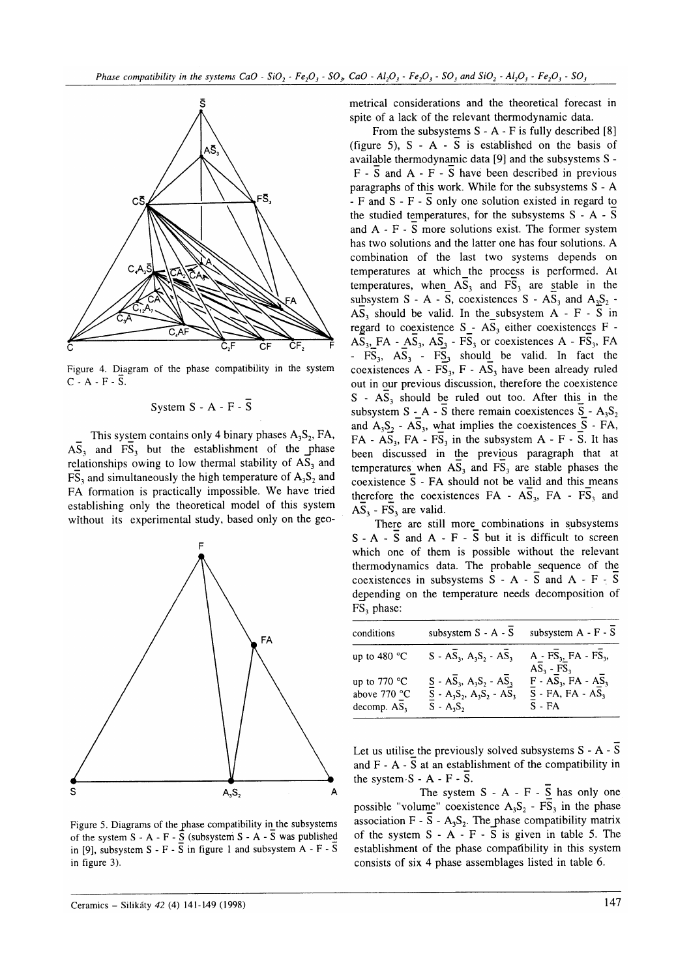

Figure 4. Diagram of the phase compatibility in the system  $C - A - F - S$ .

## System  $S - A - F - \overline{S}$

This system contains only 4 binary phases  $A_3S_2$ , FA,  $\overline{AS_3}$  and  $\overline{FS_3}$  but the establishment of the phase relationships owing to low thermal stability of  $AS<sub>3</sub>$  and  $\overline{FS}_3$  and simultaneously the high temperature of  $A_3S_2$  and FA formation is practically impossible. We have tried establishing only the theoretical model of this system without its experimental study, based only on the geo-



Figure 5. Diagrams of the phase compatibility in the subsystems of the system  $S - A - F - \overline{S}$  (subsystem  $S - A - \overline{S}$  was published in [9], subsystem S - F -  $\overline{S}$  in figure 1 and subsystem A - F -  $\overline{S}$ in figure 3).

metrical considerations and the theoretical forecast in spite of a lack of the relevant thermodynamic data.

From the subsystems  $S - A - F$  is fully described [8] (figure 5),  $S - A - \overline{S}$  is established on the basis of available thermodynamic data  $[9]$  and the subsystems S - $F - \overline{S}$  and  $A - F - \overline{S}$  have been described in previous paragraphs of this work. While for the subsystems S - A - F and  $S - F - \overline{S}$  only one solution existed in regard to the studied temperatures, for the subsystems S - A - <sup>S</sup> and A - F - S more solutions exist. The former system has two solutions and the latter one has four solutions. A combination of the last two systems depends on temperatures at which the process is performed. At temperatures, when  $A\overline{S}_3$  and  $F\overline{S}_3$  are stable in the subsystem S - A -  $\overline{S}$ , coexistences S -  $\overline{AS_3}$  and  $A_3S_2$  - $\overline{AS}_3$  should be valid. In the subsystem A - F - S in regard to coexistence  $S - A\overline{S}_3$  either coexistences  $F \overline{AS}_3$ ,  $FA - \overline{AS}_3$ ,  $\overline{AS}_3$  -  $\overline{FS}_3$  or coexistences A -  $\overline{FS}_3$ ,  $FA$ -  $FS_3$ ,  $AS_3$  -  $FS_3$  should be valid. In fact the coexistences A -  $\overline{FS}_3$ , F -  $\overline{AS}_3$  have been already ruled out in our previous discussion, therefore the coexistence  $S - AS<sub>3</sub>$  should be ruled out too. After this in the subsystem  $S - A - S$  there remain coexistences  $S - A_3S_2$ and  $A_3S_2$  -  $A\overline{S}_3$ , what implies the coexistences  $\overline{S}$  - FA, FA - AS<sub>3</sub>, FA - FS<sub>3</sub> in the subsystem A - F -  $\overline{S}$ . It has been discussed in the previous paragraph that at temperatures when  $\overline{AS}_3$  and  $\overline{FS}_3$  are stable phases the coexistence  $\overline{S}$  - FA should not be valid and this means therefore the coexistences  $FA - A\overline{S}_3$ ,  $FA - FS_3$  and  $AS<sub>3</sub> - FS<sub>3</sub>$  are valid.

There are still more combinations in subsvstems  $S - A - \overline{S}$  and  $A - F - S$  but it is difficult to screen which one of them is possible without the relevant thermodynamics data. The probable sequence of the coexistences in subsystems  $S - A - \overline{S}$  and  $A - F - \overline{S}$ depending on the temperature needs decomposition of FS, phase:

| conditions                                                | subsystem S - A - S                                                                    | subsystem A - F - S                                             |
|-----------------------------------------------------------|----------------------------------------------------------------------------------------|-----------------------------------------------------------------|
| up to 480 $^{\circ}$ C                                    | $S - A\overline{S}_3$ , $A_3S_2 - AS_3$                                                | $A - FS_3$ , FA - FS <sub>3</sub> ,<br>$AS_3$ - FS <sub>3</sub> |
| up to $770 °C$<br>above 770 °C<br>decomp. AS <sub>3</sub> | $S - AS_3, A_3S_2 - AS_3$<br>$S - A_3S_2$ , $A_3S_2 - A\overline{S}_3$<br>$S - A_3S_2$ | $F - AS_3$ , $FA - AS_3$<br>$S$ - FA, FA - AS,<br>$S - FA$      |

Let us utilise the previously solved subsystems  $S - A - \overline{S}$ and  $F - A - S$  at an establishment of the compatibility in the system  $S - A - F - S$ .

The system  $S - A - F - \overline{S}$  has only one possible "volume" coexistence  $A_3S_2 - F\overline{S}_3$  in the phase association F -  $\overline{S}$  - A<sub>3</sub>S<sub>2</sub>. The phase compatibility matrix of the system  $S - A - F - S$  is given in table 5. The establishment of the phase compatibility in this system consists of six 4 phase assemblages listed in table 6.

Ceramics – Silikáty 42 (4) 141-149 (1998) 147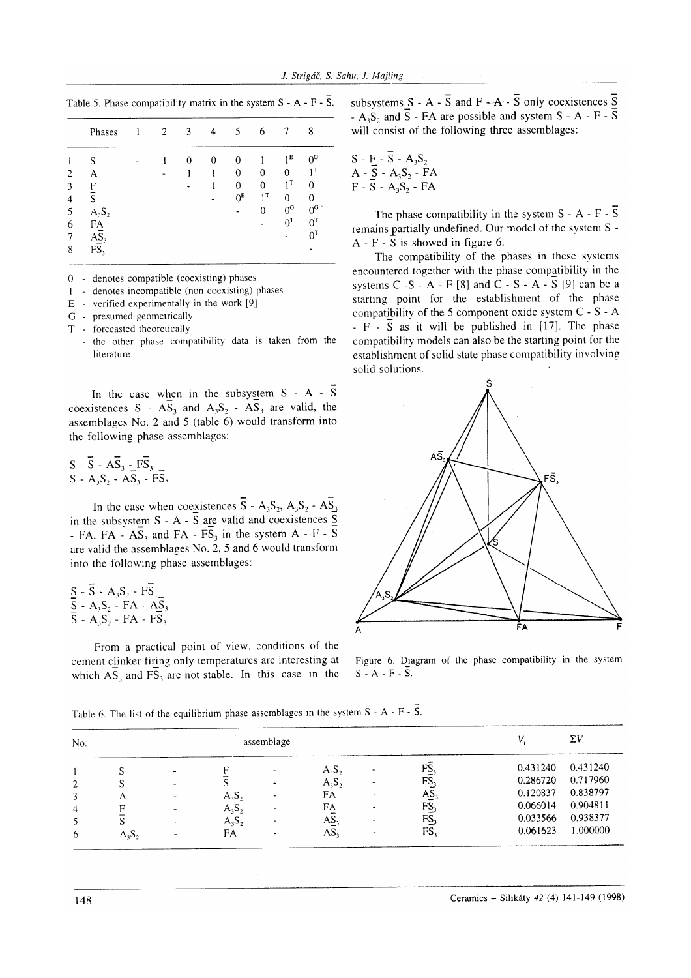Table 5. Phase compatibility matrix in the system  $S - A - F - \overline{S}$ .

|   | Phases          | 2 | 3 | 4 | 5              | 6                |                  | 8                |
|---|-----------------|---|---|---|----------------|------------------|------------------|------------------|
|   | S               |   |   | 0 | 0              |                  | 1 <sup>E</sup>   | 0 <sup>0</sup>   |
| 2 | A               |   |   |   | $\Omega$       | 0                | 0                | ۱T               |
| 3 | F               |   |   |   | 0              | 0                | $1^{\mathrm{T}}$ | 0                |
| 4 | S               |   |   |   | 0 <sup>E</sup> | $1^{\mathsf{T}}$ | 0                | 0                |
| 5 | $A_3S_2$        |   |   |   |                | 0                | 0 <sub>c</sub>   | $0c$ .           |
| 6 | FA              |   |   |   |                |                  | $0^{\mathrm{T}}$ | $0^{\mathsf{T}}$ |
|   | AS <sub>3</sub> |   |   |   |                |                  |                  | $0^{\texttt{T}}$ |
| 8 | FS,             |   |   |   |                |                  |                  |                  |
|   |                 |   |   |   |                |                  |                  |                  |

 $0 -$  denotes compatible (coexisting) phases

I - denotes incompatible (non coexisting) phases

E - verified experimentally in the work [9]

G - presumed geometrically

T - fbrecasted theoretically

- the other phase compatibility data is taken from the literature

In the case when in the subsystem  $S - A - \overline{S}$ coexistences S -  $\overrightarrow{AS_3}$  and  $A_3S_2$  -  $\overrightarrow{AS_3}$  are valid, the assemblages No. 2 and 5 (table 6) would transform into thc following phase assemblages:

 $S - \overline{S} - A\overline{S}_3 - F\overline{S}_3$  $S-A_3S_2-AS_3-FS_3$ 

In the case when coexistences  $\overline{S}$  - A<sub>3</sub>S<sub>2</sub>, A<sub>3</sub>S<sub>2</sub> - AS<sub>3</sub> in the subsystem  $S - A - S$  are valid and coexistences  $S$ - FA, FA -  $\overline{AS_3}$  and FA -  $\overline{FS_3}$  in the system A - F -  $\overline{S}$ are valid the assemblages No. 2, 5 and 6 would transform into the following phase assemblages:

|  |  |  | $S - S - A_3S_2 - FS_1$                                                             |
|--|--|--|-------------------------------------------------------------------------------------|
|  |  |  | $\overline{S}$ - A <sub>3</sub> S <sub>2</sub> - FA - A <sub>2</sub> S <sub>3</sub> |
|  |  |  | $S - A_3S_2 - FA - FS_3$                                                            |

From a practical point of view, conditions of the cement clinker tiring only temperatures are interesting at which  $\overline{AS}_3$  and  $\overline{FS}_3$  are not stable. In this case in the subsystems  $S - A - \overline{S}$  and  $F - A - \overline{S}$  only coexistences  $\overline{S}$ -  $A_3S_2$  and  $\overline{S}$  - FA are possible and system S - A - F -  $\overline{S}$ will consist of the following three assemblages:

$$
S - F - \overline{S} - A_3S_2
$$
  
A -  $\overline{S}$  - A<sub>3</sub>S<sub>2</sub> - FA  
F -  $\overline{S}$  - A<sub>3</sub>S<sub>2</sub> - FA

The phase compatibility in the system  $S - A - F - \overline{S}$ remains partially undefined. Our model of the system S -A - F -  $\overline{S}$  is showed in figure 6.

The compatibility of the phases in these systems encountered together with the phase compatibility in the systems  $C - S - A - F$  [8] and  $C - S - A - \overline{S}$  [9] can be a starting point for the establishment of the phase compatibility of the 5 component oxide system C - S - A  $-F - \overline{S}$  as it will be published in [17]. The phase compatibility models can also be the starting point for the establishment of solid state phase compatibility involving solid solutions.



Figure 6. Diagram of the phase compatibility in the system  $S-A-F-\overline{S}$ .

Table 6. The list of the equilibrium phase assemblages in the system  $S - A - F - \overline{S}$ .

| No. |          |                          |          | assemblage               |                 |                 |          | $\Sigma V_i$ |
|-----|----------|--------------------------|----------|--------------------------|-----------------|-----------------|----------|--------------|
|     |          |                          |          |                          | $A_3S_2$        | FS,             | 0.431240 | 0.431240     |
| 2   |          |                          |          | $\hat{\phantom{a}}$      | $A_3S_2$        | FS <sub>3</sub> | 0.286720 | 0.717960     |
|     | А        |                          | $A_3S_2$ |                          | FA              | $AS_3$          | 0.120837 | 0.838797     |
| 4   |          | $\overline{\phantom{a}}$ | $A_3S_2$ |                          | FA              | FS <sub>3</sub> | 0.066014 | 0.904811     |
|     | S        |                          | $A_3S_2$ |                          | AS <sub>3</sub> | FS <sub>3</sub> | 0.033566 | 0.938377     |
| 6   | $A_3S_2$ |                          | FA       | $\overline{\phantom{a}}$ | AS <sub>3</sub> | FS,             | 0.061623 | 1.000000     |